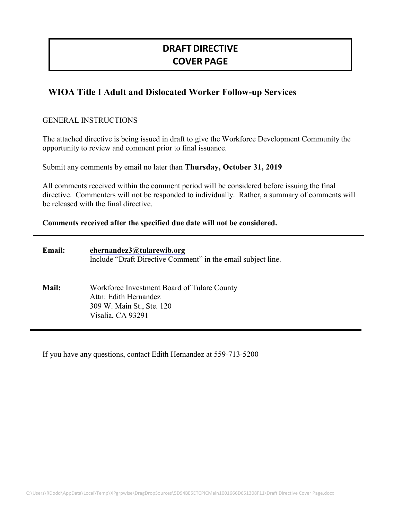# **DRAFT DIRECTIVE COVER PAGE**

# **WIOA Title I Adult and Dislocated Worker Follow-up Services**

#### GENERAL INSTRUCTIONS

The attached directive is being issued in draft to give the Workforce Development Community the opportunity to review and comment prior to final issuance.

Submit any comments by email no later than **Thursday, October 31, 2019**

All comments received within the comment period will be considered before issuing the final directive. Commenters will not be responded to individually. Rather, a summary of comments will be released with the final directive.

#### **Comments received after the specified due date will not be considered.**

| <b>Email:</b> | ehernandez3@tularewib.org<br>Include "Draft Directive Comment" in the email subject line.                              |
|---------------|------------------------------------------------------------------------------------------------------------------------|
| Mail:         | Workforce Investment Board of Tulare County<br>Attn: Edith Hernandez<br>309 W. Main St., Ste. 120<br>Visalia, CA 93291 |

If you have any questions, contact Edith Hernandez at 559-713-5200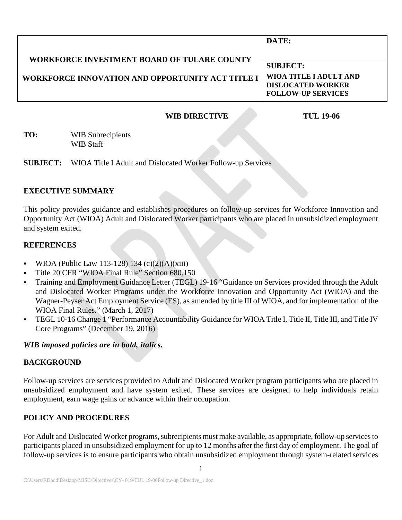|                                                         | DATE:                     |
|---------------------------------------------------------|---------------------------|
| WORKFORCE INVESTMENT BOARD OF TULARE COUNTY             |                           |
|                                                         | <b>SUBJECT:</b>           |
| <b>WORKFORCE INNOVATION AND OPPORTUNITY ACT TITLE I</b> | WIOA TITLE I ADULT AND    |
|                                                         | <b>DISLOCATED WORKER</b>  |
|                                                         | <b>FOLLOW-UP SERVICES</b> |
|                                                         |                           |

# **WIB DIRECTIVE TUL 19-06**

**TO:** WIB Subrecipients WIB Staff

**SUBJECT:** WIOA Title I Adult and Dislocated Worker Follow-up Services

#### **EXECUTIVE SUMMARY**

This policy provides guidance and establishes procedures on follow-up services for Workforce Innovation and Opportunity Act (WIOA) Adult and Dislocated Worker participants who are placed in unsubsidized employment and system exited.

#### **REFERENCES**

- WIOA (Public Law 113-128) 134 (c)(2)(A)(xiii)
- Title 20 CFR "WIOA Final Rule" Section 680.150
- Training and Employment Guidance Letter (TEGL) 19-16 "Guidance on Services provided through the Adult and Dislocated Worker Programs under the Workforce Innovation and Opportunity Act (WIOA) and the Wagner-Peyser Act Employment Service (ES), as amended by title III of WIOA, and for implementation of the WIOA Final Rules." (March 1, 2017)
- TEGL 10-16 Change 1 "Performance Accountability Guidance for WIOA Title I, Title II, Title III, and Title IV Core Programs" (December 19, 2016)

## *WIB imposed policies are in bold, italics.*

## **BACKGROUND**

Follow-up services are services provided to Adult and Dislocated Worker program participants who are placed in unsubsidized employment and have system exited. These services are designed to help individuals retain employment, earn wage gains or advance within their occupation.

## **POLICY AND PROCEDURES**

For Adult and Dislocated Worker programs, subrecipients must make available, as appropriate, follow-up servicesto participants placed in unsubsidized employment for up to 12 months after the first day of employment. The goal of follow-up services is to ensure participants who obtain unsubsidized employment through system-related services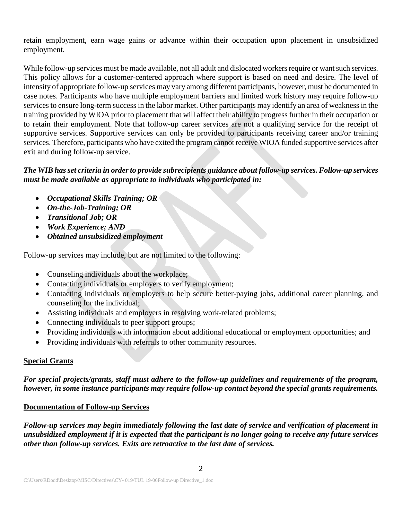retain employment, earn wage gains or advance within their occupation upon placement in unsubsidized employment.

While follow-up services must be made available, not all adult and dislocated workers require or want such services. This policy allows for a customer-centered approach where support is based on need and desire. The level of intensity of appropriate follow-up services may vary among different participants, however, must be documented in case notes. Participants who have multiple employment barriers and limited work history may require follow-up services to ensure long-term success in the labor market. Other participants may identify an area of weakness in the training provided by WIOA prior to placement that will affect their ability to progress further in their occupation or to retain their employment. Note that follow-up career services are not a qualifying service for the receipt of supportive services. Supportive services can only be provided to participants receiving career and/or training services. Therefore, participants who have exited the program cannot receive WIOA funded supportive services after exit and during follow-up service.

# *The WIB has set criteria in order to provide subrecipients guidance about follow-up services. Follow-up services must be made available as appropriate to individuals who participated in:*

- *Occupational Skills Training; OR*
- *On-the-Job-Training; OR*
- *Transitional Job; OR*
- *Work Experience; AND*
- *Obtained unsubsidized employment*

Follow-up services may include, but are not limited to the following:

- Counseling individuals about the workplace;
- Contacting individuals or employers to verify employment;
- Contacting individuals or employers to help secure better-paying jobs, additional career planning, and counseling for the individual;
- Assisting individuals and employers in resolving work-related problems;
- Connecting individuals to peer support groups;
- Providing individuals with information about additional educational or employment opportunities; and
- Providing individuals with referrals to other community resources.

## **Special Grants**

*For special projects/grants, staff must adhere to the follow-up guidelines and requirements of the program, however, in some instance participants may require follow-up contact beyond the special grants requirements.*

## **Documentation of Follow-up Services**

*Follow-up services may begin immediately following the last date of service and verification of placement in unsubsidized employment if it is expected that the participant is no longer going to receive any future services other than follow-up services. Exits are retroactive to the last date of services.*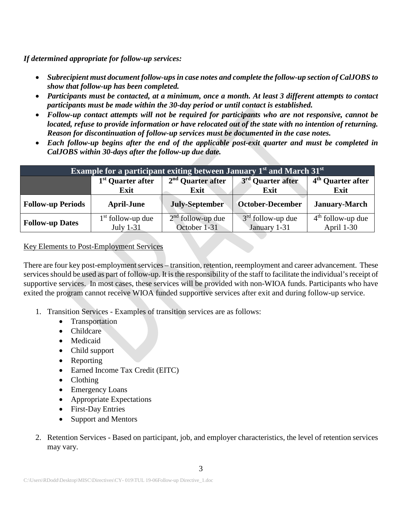*If determined appropriate for follow-up services:*

- *Subrecipient must document follow-ups in case notes and complete the follow-up section of CalJOBS to show that follow-up has been completed.*
- *Participants must be contacted, at a minimum, once a month. At least 3 different attempts to contact participants must be made within the 30-day period or until contact is established.*
- *Follow-up contact attempts will not be required for participants who are not responsive, cannot be located, refuse to provide information or have relocated out of the state with no intention of returning. Reason for discontinuation of follow-up services must be documented in the case notes.*
- *Each follow-up begins after the end of the applicable post-exit quarter and must be completed in CalJOBS within 30-days after the follow-up due date.*

| <b>Example for a participant exiting between January <math>\overline{1}^{\text{st}}</math> and March <math>31^{\text{st}}</math></b> |                               |                       |                               |                               |  |  |
|--------------------------------------------------------------------------------------------------------------------------------------|-------------------------------|-----------------------|-------------------------------|-------------------------------|--|--|
|                                                                                                                                      | 1 <sup>st</sup> Quarter after | $2nd$ Quarter after   | 3 <sup>rd</sup> Quarter after | 4 <sup>th</sup> Quarter after |  |  |
|                                                                                                                                      | Exit                          | Exit                  | Exit                          | Exit                          |  |  |
|                                                                                                                                      |                               |                       |                               |                               |  |  |
| <b>Follow-up Periods</b>                                                                                                             | <b>April-June</b>             | <b>July-September</b> | October-December              | <b>January-March</b>          |  |  |

#### Key Elements to Post-Employment Services

There are four key post-employment services – transition, retention, reemployment and career advancement. These services should be used as part of follow-up. It is the responsibility of the staff to facilitate the individual's receipt of supportive services. In most cases, these services will be provided with non-WIOA funds. Participants who have exited the program cannot receive WIOA funded supportive services after exit and during follow-up service.

- 1. Transition Services Examples of transition services are as follows:
	- Transportation
	- Childcare
	- Medicaid
	- Child support
	- Reporting
	- Earned Income Tax Credit (EITC)
	- Clothing
	- Emergency Loans
	- Appropriate Expectations
	- First-Day Entries
	- Support and Mentors
- 2. Retention Services Based on participant, job, and employer characteristics, the level of retention services may vary.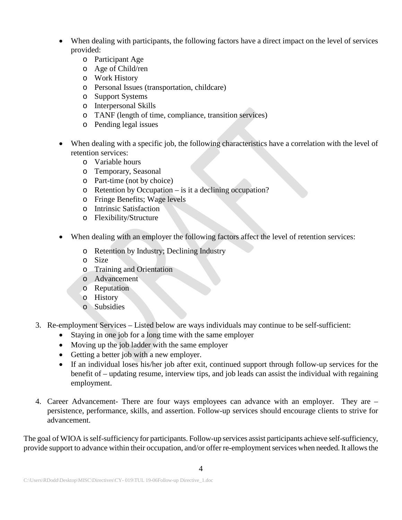- When dealing with participants, the following factors have a direct impact on the level of services provided:
	- o Participant Age
	- o Age of Child/ren
	- o Work History
	- o Personal Issues (transportation, childcare)
	- o Support Systems
	- o Interpersonal Skills
	- o TANF (length of time, compliance, transition services)
	- o Pending legal issues
- When dealing with a specific job, the following characteristics have a correlation with the level of retention services:
	- o Variable hours
	- o Temporary, Seasonal
	- o Part-time (not by choice)
	- o Retention by Occupation is it a declining occupation?
	- o Fringe Benefits; Wage levels
	- o Intrinsic Satisfaction
	- o Flexibility/Structure
- When dealing with an employer the following factors affect the level of retention services:
	- o Retention by Industry; Declining Industry
	- o Size
	- o Training and Orientation
	- o Advancement
	- o Reputation
	- o History
	- o Subsidies
- 3. Re-employment Services Listed below are ways individuals may continue to be self-sufficient:
	- Staying in one job for a long time with the same employer
	- Moving up the job ladder with the same employer
	- Getting a better job with a new employer.
	- If an individual loses his/her job after exit, continued support through follow-up services for the benefit of – updating resume, interview tips, and job leads can assist the individual with regaining employment.
- 4. Career Advancement- There are four ways employees can advance with an employer. They are persistence, performance, skills, and assertion. Follow-up services should encourage clients to strive for advancement.

The goal of WIOA is self-sufficiency for participants. Follow-up services assist participants achieve self-sufficiency, provide support to advance within their occupation, and/or offer re-employment services when needed. It allows the